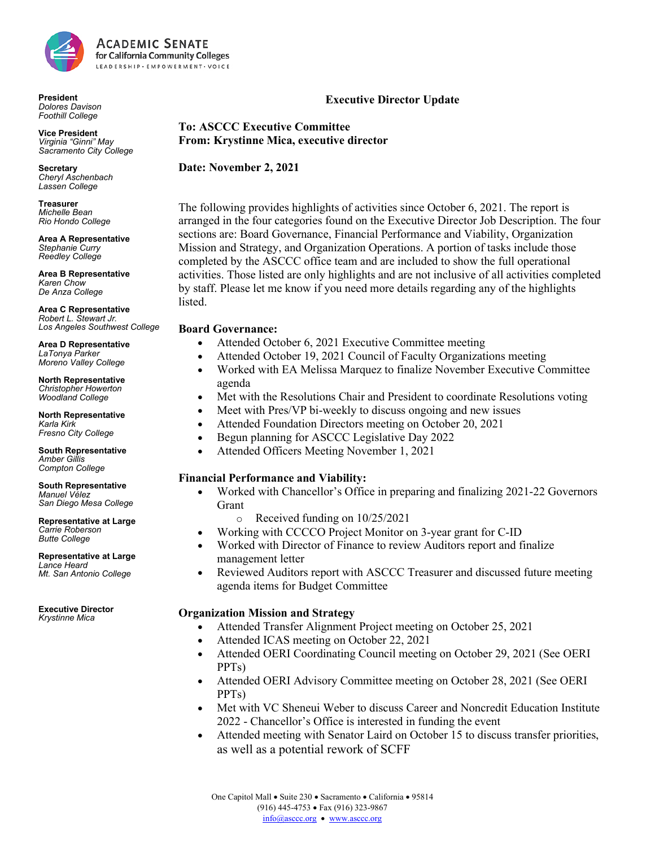

**President** *Dolores Davison Foothill College*

**Vice President** *Virginia "Ginni" May Sacramento City College*

**Secretary** *Cheryl Aschenbach Lassen College* 

**Treasurer** *Michelle Bean Rio Hondo College*

**Area A Representative** *Stephanie Curry Reedley College*

**Area B Representative** *Karen Chow De Anza College*

**Area C Representative** *Robert L. Stewart Jr. Los Angeles Southwest College*

**Area D Representative** *LaTonya Parker Moreno Valley College*

**North Representative** *Christopher Howerton Woodland College*

**North Representative** *Karla Kirk Fresno City College*

**South Representative** *Amber Gillis Compton College*

**South Representative** *Manuel Vélez San Diego Mesa College*

**Representative at Large** *Carrie Roberson Butte College* 

**Representative at Large** *Lance Heard Mt. San Antonio College* 

**Executive Director** *Krystinne Mica*

# **Executive Director Update**

**To: ASCCC Executive Committee From: Krystinne Mica, executive director**

**Date: November 2, 2021**

The following provides highlights of activities since October 6, 2021. The report is arranged in the four categories found on the Executive Director Job Description. The four sections are: Board Governance, Financial Performance and Viability, Organization Mission and Strategy, and Organization Operations. A portion of tasks include those completed by the ASCCC office team and are included to show the full operational activities. Those listed are only highlights and are not inclusive of all activities completed by staff. Please let me know if you need more details regarding any of the highlights listed.

### **Board Governance:**

- Attended October 6, 2021 Executive Committee meeting
- Attended October 19, 2021 Council of Faculty Organizations meeting
- Worked with EA Melissa Marquez to finalize November Executive Committee agenda
- Met with the Resolutions Chair and President to coordinate Resolutions voting
- Meet with Pres/VP bi-weekly to discuss ongoing and new issues
- Attended Foundation Directors meeting on October 20, 2021
- Begun planning for ASCCC Legislative Day 2022
- Attended Officers Meeting November 1, 2021

#### **Financial Performance and Viability:**

- Worked with Chancellor's Office in preparing and finalizing 2021-22 Governors Grant
	- Received funding on  $10/25/2021$
- Working with CCCCO Project Monitor on 3-year grant for C-ID
- Worked with Director of Finance to review Auditors report and finalize management letter
- Reviewed Auditors report with ASCCC Treasurer and discussed future meeting agenda items for Budget Committee

## **Organization Mission and Strategy**

- Attended Transfer Alignment Project meeting on October 25, 2021
- Attended ICAS meeting on October 22, 2021
- Attended OERI Coordinating Council meeting on October 29, 2021 (See OERI PPTs)
- Attended OERI Advisory Committee meeting on October 28, 2021 (See OERI PPTs)
- Met with VC Sheneui Weber to discuss Career and Noncredit Education Institute 2022 - Chancellor's Office is interested in funding the event
- Attended meeting with Senator Laird on October 15 to discuss transfer priorities, as well as a potential rework of SCFF